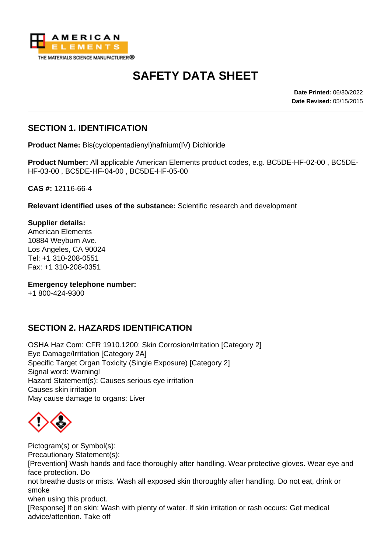

# **SAFETY DATA SHEET**

**Date Printed:** 06/30/2022 **Date Revised:** 05/15/2015

#### **SECTION 1. IDENTIFICATION**

**Product Name:** Bis(cyclopentadienyl)hafnium(IV) Dichloride

**Product Number:** All applicable American Elements product codes, e.g. BC5DE-HF-02-00 , BC5DE-HF-03-00 , BC5DE-HF-04-00 , BC5DE-HF-05-00

**CAS #:** 12116-66-4

**Relevant identified uses of the substance:** Scientific research and development

**Supplier details:** American Elements 10884 Weyburn Ave. Los Angeles, CA 90024 Tel: +1 310-208-0551 Fax: +1 310-208-0351

**Emergency telephone number:** +1 800-424-9300

#### **SECTION 2. HAZARDS IDENTIFICATION**

OSHA Haz Com: CFR 1910.1200: Skin Corrosion/Irritation [Category 2] Eye Damage/Irritation [Category 2A] Specific Target Organ Toxicity (Single Exposure) [Category 2] Signal word: Warning! Hazard Statement(s): Causes serious eye irritation Causes skin irritation May cause damage to organs: Liver



Pictogram(s) or Symbol(s): Precautionary Statement(s):

[Prevention] Wash hands and face thoroughly after handling. Wear protective gloves. Wear eye and face protection. Do

not breathe dusts or mists. Wash all exposed skin thoroughly after handling. Do not eat, drink or smoke

when using this product.

[Response] If on skin: Wash with plenty of water. If skin irritation or rash occurs: Get medical advice/attention. Take off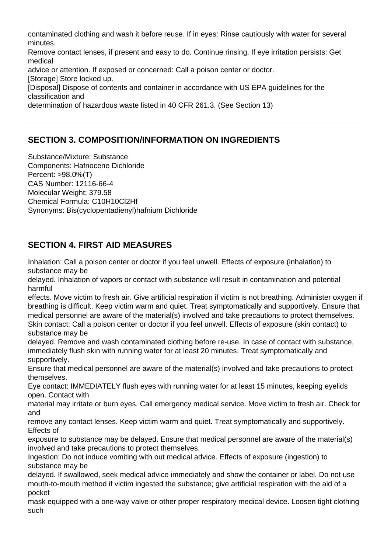contaminated clothing and wash it before reuse. If in eyes: Rinse cautiously with water for several minutes. Remove contact lenses, if present and easy to do. Continue rinsing. If eye irritation persists: Get medical advice or attention. If exposed or concerned: Call a poison center or doctor. [Storage] Store locked up. [Disposal] Dispose of contents and container in accordance with US EPA guidelines for the classification and determination of hazardous waste listed in 40 CFR 261.3. (See Section 13)

## **SECTION 3. COMPOSITION/INFORMATION ON INGREDIENTS**

Substance/Mixture: Substance Components: Hafnocene Dichloride Percent: >98.0%(T) CAS Number: 12116-66-4 Molecular Weight: 379.58 Chemical Formula: C10H10Cl2Hf Synonyms: Bis(cyclopentadienyl)hafnium Dichloride

## **SECTION 4. FIRST AID MEASURES**

Inhalation: Call a poison center or doctor if you feel unwell. Effects of exposure (inhalation) to substance may be

delayed. Inhalation of vapors or contact with substance will result in contamination and potential harmful

effects. Move victim to fresh air. Give artificial respiration if victim is not breathing. Administer oxygen if breathing is difficult. Keep victim warm and quiet. Treat symptomatically and supportively. Ensure that medical personnel are aware of the material(s) involved and take precautions to protect themselves. Skin contact: Call a poison center or doctor if you feel unwell. Effects of exposure (skin contact) to substance may be

delayed. Remove and wash contaminated clothing before re-use. In case of contact with substance, immediately flush skin with running water for at least 20 minutes. Treat symptomatically and supportively.

Ensure that medical personnel are aware of the material(s) involved and take precautions to protect themselves.

Eye contact: IMMEDIATELY flush eyes with running water for at least 15 minutes, keeping eyelids open. Contact with

material may irritate or burn eyes. Call emergency medical service. Move victim to fresh air. Check for and

remove any contact lenses. Keep victim warm and quiet. Treat symptomatically and supportively. Effects of

exposure to substance may be delayed. Ensure that medical personnel are aware of the material(s) involved and take precautions to protect themselves.

Ingestion: Do not induce vomiting with out medical advice. Effects of exposure (ingestion) to substance may be

delayed. If swallowed, seek medical advice immediately and show the container or label. Do not use mouth-to-mouth method if victim ingested the substance; give artificial respiration with the aid of a pocket

mask equipped with a one-way valve or other proper respiratory medical device. Loosen tight clothing such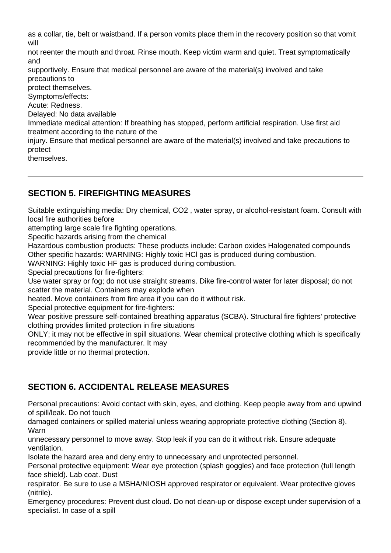as a collar, tie, belt or waistband. If a person vomits place them in the recovery position so that vomit will

not reenter the mouth and throat. Rinse mouth. Keep victim warm and quiet. Treat symptomatically and

supportively. Ensure that medical personnel are aware of the material(s) involved and take precautions to

protect themselves.

Symptoms/effects:

Acute: Redness.

Delayed: No data available

Immediate medical attention: If breathing has stopped, perform artificial respiration. Use first aid treatment according to the nature of the

injury. Ensure that medical personnel are aware of the material(s) involved and take precautions to protect

themselves.

# **SECTION 5. FIREFIGHTING MEASURES**

Suitable extinguishing media: Dry chemical, CO2 , water spray, or alcohol-resistant foam. Consult with local fire authorities before

attempting large scale fire fighting operations.

Specific hazards arising from the chemical

Hazardous combustion products: These products include: Carbon oxides Halogenated compounds Other specific hazards: WARNING: Highly toxic HCl gas is produced during combustion.

WARNING: Highly toxic HF gas is produced during combustion.

Special precautions for fire-fighters:

Use water spray or fog; do not use straight streams. Dike fire-control water for later disposal; do not scatter the material. Containers may explode when

heated. Move containers from fire area if you can do it without risk.

Special protective equipment for fire-fighters:

Wear positive pressure self-contained breathing apparatus (SCBA). Structural fire fighters' protective clothing provides limited protection in fire situations

ONLY; it may not be effective in spill situations. Wear chemical protective clothing which is specifically recommended by the manufacturer. It may

provide little or no thermal protection.

## **SECTION 6. ACCIDENTAL RELEASE MEASURES**

Personal precautions: Avoid contact with skin, eyes, and clothing. Keep people away from and upwind of spill/leak. Do not touch

damaged containers or spilled material unless wearing appropriate protective clothing (Section 8). **Warn** 

unnecessary personnel to move away. Stop leak if you can do it without risk. Ensure adequate ventilation.

Isolate the hazard area and deny entry to unnecessary and unprotected personnel.

Personal protective equipment: Wear eye protection (splash goggles) and face protection (full length face shield). Lab coat. Dust

respirator. Be sure to use a MSHA/NIOSH approved respirator or equivalent. Wear protective gloves (nitrile).

Emergency procedures: Prevent dust cloud. Do not clean-up or dispose except under supervision of a specialist. In case of a spill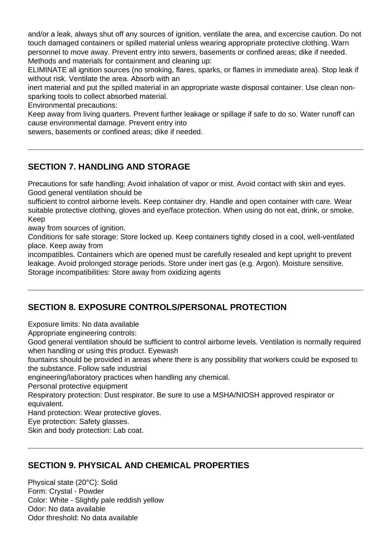and/or a leak, always shut off any sources of ignition, ventilate the area, and excercise caution. Do not touch damaged containers or spilled material unless wearing appropriate protective clothing. Warn personnel to move away. Prevent entry into sewers, basements or confined areas; dike if needed. Methods and materials for containment and cleaning up:

ELIMINATE all ignition sources (no smoking, flares, sparks, or flames in immediate area). Stop leak if without risk. Ventilate the area. Absorb with an

inert material and put the spilled material in an appropriate waste disposal container. Use clean nonsparking tools to collect absorbed material.

Environmental precautions:

Keep away from living quarters. Prevent further leakage or spillage if safe to do so. Water runoff can cause environmental damage. Prevent entry into

sewers, basements or confined areas; dike if needed.

#### **SECTION 7. HANDLING AND STORAGE**

Precautions for safe handling: Avoid inhalation of vapor or mist. Avoid contact with skin and eyes. Good general ventilation should be

sufficient to control airborne levels. Keep container dry. Handle and open container with care. Wear suitable protective clothing, gloves and eye/face protection. When using do not eat, drink, or smoke. Keep

away from sources of ignition.

Conditions for safe storage: Store locked up. Keep containers tightly closed in a cool, well-ventilated place. Keep away from

incompatibles. Containers which are opened must be carefully resealed and kept upright to prevent leakage. Avoid prolonged storage periods. Store under inert gas (e.g. Argon). Moisture sensitive. Storage incompatibilities: Store away from oxidizing agents

## **SECTION 8. EXPOSURE CONTROLS/PERSONAL PROTECTION**

Exposure limits: No data available

Appropriate engineering controls:

Good general ventilation should be sufficient to control airborne levels. Ventilation is normally required when handling or using this product. Eyewash

fountains should be provided in areas where there is any possibility that workers could be exposed to the substance. Follow safe industrial

engineering/laboratory practices when handling any chemical.

Personal protective equipment

Respiratory protection: Dust respirator. Be sure to use a MSHA/NIOSH approved respirator or equivalent.

Hand protection: Wear protective gloves.

Eye protection: Safety glasses.

Skin and body protection: Lab coat.

## **SECTION 9. PHYSICAL AND CHEMICAL PROPERTIES**

Physical state (20°C): Solid Form: Crystal - Powder Color: White - Slightly pale reddish yellow Odor: No data available Odor threshold: No data available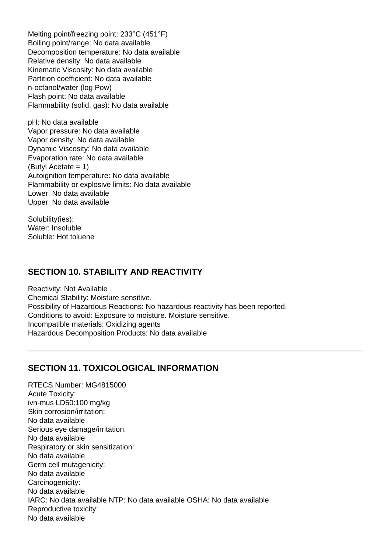Melting point/freezing point: 233°C (451°F) Boiling point/range: No data available Decomposition temperature: No data available Relative density: No data available Kinematic Viscosity: No data available Partition coefficient: No data available n-octanol/water (log Pow) Flash point: No data available Flammability (solid, gas): No data available

pH: No data available Vapor pressure: No data available Vapor density: No data available Dynamic Viscosity: No data available Evaporation rate: No data available (Butyl Acetate = 1) Autoignition temperature: No data available Flammability or explosive limits: No data available Lower: No data available Upper: No data available

Solubility(ies): Water: Insoluble Soluble: Hot toluene

#### **SECTION 10. STABILITY AND REACTIVITY**

Reactivity: Not Available Chemical Stability: Moisture sensitive. Possibility of Hazardous Reactions: No hazardous reactivity has been reported. Conditions to avoid: Exposure to moisture. Moisture sensitive. Incompatible materials: Oxidizing agents Hazardous Decomposition Products: No data available

#### **SECTION 11. TOXICOLOGICAL INFORMATION**

RTECS Number: MG4815000 Acute Toxicity: ivn-mus LD50:100 mg/kg Skin corrosion/irritation: No data available Serious eye damage/irritation: No data available Respiratory or skin sensitization: No data available Germ cell mutagenicity: No data available Carcinogenicity: No data available IARC: No data available NTP: No data available OSHA: No data available Reproductive toxicity: No data available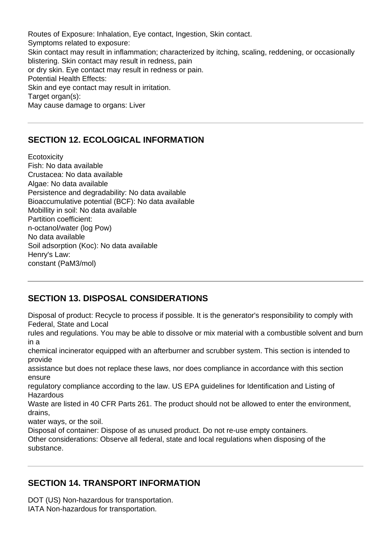Routes of Exposure: Inhalation, Eye contact, Ingestion, Skin contact. Symptoms related to exposure: Skin contact may result in inflammation; characterized by itching, scaling, reddening, or occasionally blistering. Skin contact may result in redness, pain or dry skin. Eye contact may result in redness or pain. Potential Health Effects: Skin and eye contact may result in irritation. Target organ(s): May cause damage to organs: Liver

## **SECTION 12. ECOLOGICAL INFORMATION**

**Ecotoxicity** Fish: No data available Crustacea: No data available Algae: No data available Persistence and degradability: No data available Bioaccumulative potential (BCF): No data available Mobillity in soil: No data available Partition coefficient: n-octanol/water (log Pow) No data available Soil adsorption (Koc): No data available Henry's Law: constant (PaM3/mol)

## **SECTION 13. DISPOSAL CONSIDERATIONS**

Disposal of product: Recycle to process if possible. It is the generator's responsibility to comply with Federal, State and Local

rules and regulations. You may be able to dissolve or mix material with a combustible solvent and burn in a

chemical incinerator equipped with an afterburner and scrubber system. This section is intended to provide

assistance but does not replace these laws, nor does compliance in accordance with this section ensure

regulatory compliance according to the law. US EPA guidelines for Identification and Listing of **Hazardous** 

Waste are listed in 40 CFR Parts 261. The product should not be allowed to enter the environment, drains,

water ways, or the soil.

Disposal of container: Dispose of as unused product. Do not re-use empty containers.

Other considerations: Observe all federal, state and local regulations when disposing of the substance.

## **SECTION 14. TRANSPORT INFORMATION**

DOT (US) Non-hazardous for transportation. IATA Non-hazardous for transportation.